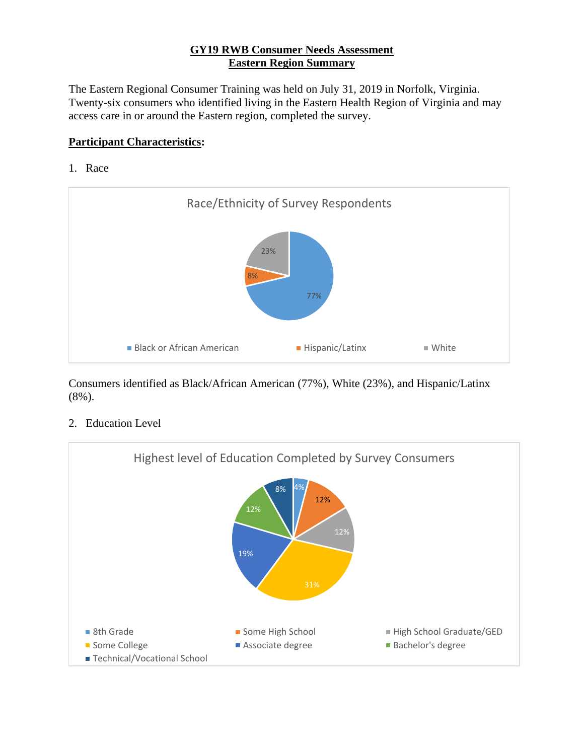## **GY19 RWB Consumer Needs Assessment Eastern Region Summary**

The Eastern Regional Consumer Training was held on July 31, 2019 in Norfolk, Virginia. Twenty-six consumers who identified living in the Eastern Health Region of Virginia and may access care in or around the Eastern region, completed the survey.

## **Participant Characteristics:**

1. Race



Consumers identified as Black/African American (77%), White (23%), and Hispanic/Latinx (8%).

2. Education Level